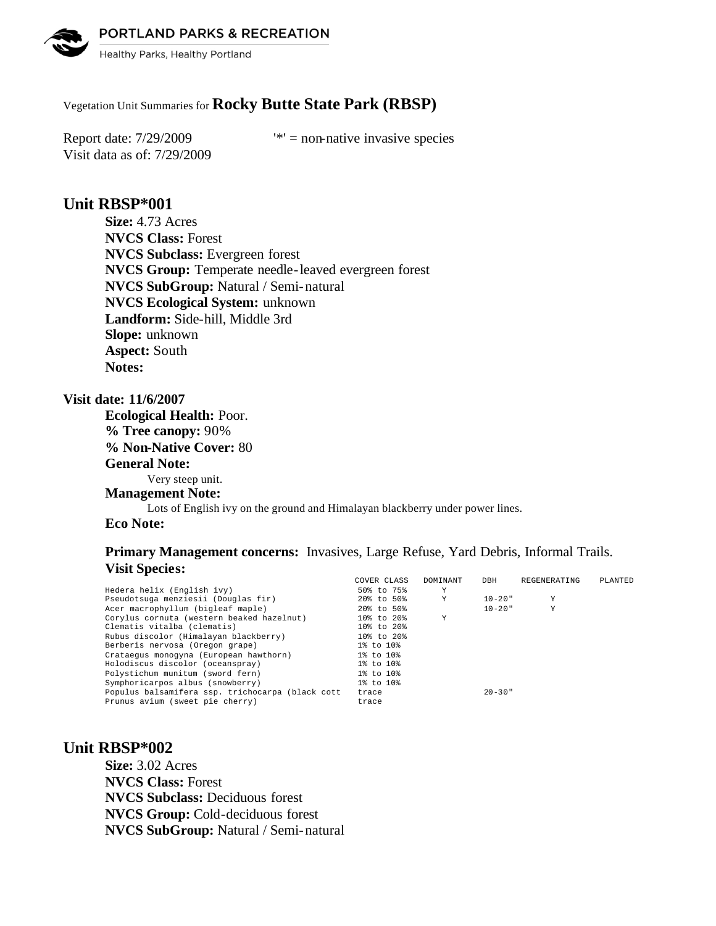PORTLAND PARKS & RECREATION



Healthy Parks, Healthy Portland

# Vegetation Unit Summaries for **Rocky Butte State Park (RBSP)**

Visit data as of: 7/29/2009

Report date:  $7/29/2009$  '\*' = non-native invasive species

# **Unit RBSP\*001**

**Size:** 4.73 Acres **NVCS Class:** Forest **NVCS Subclass:** Evergreen forest **NVCS Group:** Temperate needle-leaved evergreen forest **NVCS SubGroup:** Natural / Semi-natural **NVCS Ecological System:** unknown **Landform:** Side-hill, Middle 3rd **Slope:** unknown **Aspect:** South **Notes:** 

## **Visit date: 11/6/2007**

**Ecological Health:** Poor. **% Tree canopy:** 90% **% Non-Native Cover:** 80 **General Note:** Very steep unit. **Management Note:** Lots of English ivy on the ground and Himalayan blackberry under power lines.

### **Eco Note:**

# **Primary Management concerns:** Invasives, Large Refuse, Yard Debris, Informal Trails. **Visit Species:**

|                                                  | COVER CLASS | DOMINANT | DBH         | REGENERATING | PLANTED |
|--------------------------------------------------|-------------|----------|-------------|--------------|---------|
| Hedera helix (English ivy)                       | 50% to 75%  | Υ        |             |              |         |
| Pseudotsuga menziesii (Douglas fir)              | 20% to 50%  | Y        | $10 - 20$ " | Υ            |         |
| Acer macrophyllum (bigleaf maple)                | 20% to 50%  |          | $10 - 20$ " | Y            |         |
| Corvlus cornuta (western beaked hazelnut)        | 10% to 20%  | Y        |             |              |         |
| Clematis vitalba (clematis)                      | 10% to 20%  |          |             |              |         |
| Rubus discolor (Himalayan blackberry)            | 10% to 20%  |          |             |              |         |
| Berberis nervosa (Oregon grape)                  | 1% to 10%   |          |             |              |         |
| Crataegus monogyna (European hawthorn)           | 1% to 10%   |          |             |              |         |
| Holodiscus discolor (oceanspray)                 | 1% to 10%   |          |             |              |         |
| Polystichum munitum (sword fern)                 | 1% to 10%   |          |             |              |         |
| Symphoricarpos albus (snowberry)                 | 1% to 10%   |          |             |              |         |
| Populus balsamifera ssp. trichocarpa (black cott | trace       |          | $20 - 30$ " |              |         |
| Prunus avium (sweet pie cherry)                  | trace       |          |             |              |         |
|                                                  |             |          |             |              |         |

# **Unit RBSP\*002**

**Size:** 3.02 Acres **NVCS Class:** Forest **NVCS Subclass:** Deciduous forest **NVCS Group:** Cold-deciduous forest **NVCS SubGroup:** Natural / Semi-natural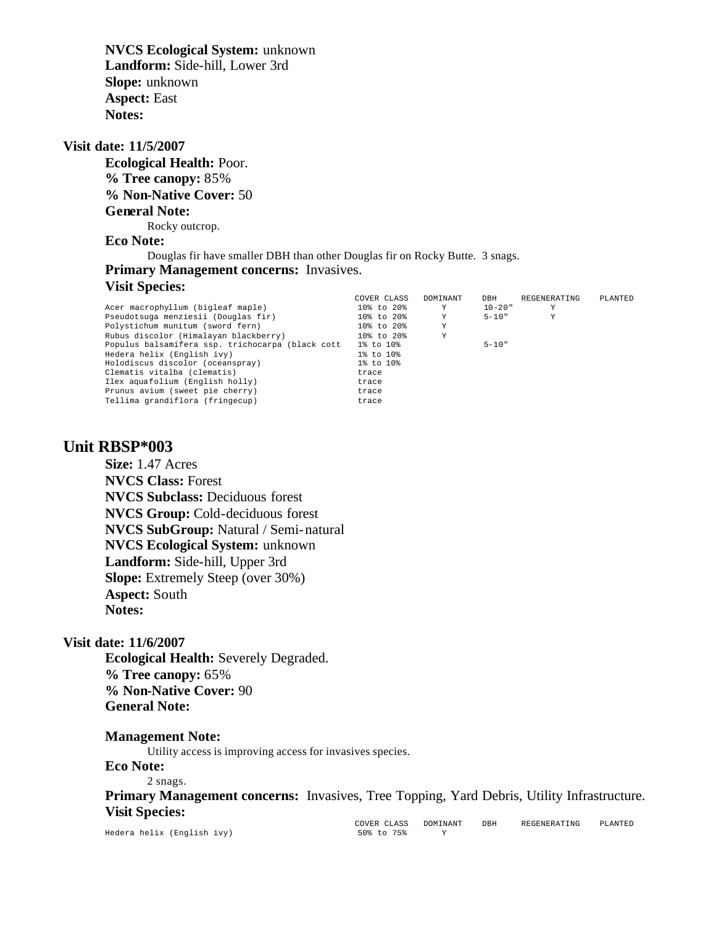**NVCS Ecological System:** unknown **Landform:** Side-hill, Lower 3rd **Slope:** unknown **Aspect:** East **Notes:** 

#### **Visit date: 11/5/2007**

**Ecological Health:** Poor. **% Tree canopy:** 85% **% Non-Native Cover:** 50 **General Note:** Rocky outcrop.

# **Eco Note:**

Douglas fir have smaller DBH than other Douglas fir on Rocky Butte. 3 snags. **Primary Management concerns:** Invasives.

## **Visit Species:**

|                                                  | COVER CLASS | DOMINANT | DBH         | REGENERATING | PLANTED |
|--------------------------------------------------|-------------|----------|-------------|--------------|---------|
| Acer macrophyllum (bigleaf maple)                | 10% to 20%  | Y        | $10 - 20$ " | Y            |         |
| Pseudotsuga menziesii (Douglas fir)              | 10% to 20%  | Y        | $5 - 10"$   | Y            |         |
| Polystichum munitum (sword fern)                 | 10% to 20%  | Υ        |             |              |         |
| Rubus discolor (Himalayan blackberry)            | 10% to 20%  | Υ        |             |              |         |
| Populus balsamifera ssp. trichocarpa (black cott | 1% to 10%   |          | $5 - 10"$   |              |         |
| Hedera helix (English ivy)                       | 1% to 10%   |          |             |              |         |
| Holodiscus discolor (oceanspray)                 | 1% to 10%   |          |             |              |         |
| Clematis vitalba (clematis)                      | trace       |          |             |              |         |
| Ilex aquafolium (English holly)                  | trace       |          |             |              |         |
| Prunus avium (sweet pie cherry)                  | trace       |          |             |              |         |
| Tellima grandiflora (fringecup)                  | trace       |          |             |              |         |

# **Unit RBSP\*003**

**Size:** 1.47 Acres **NVCS Class:** Forest **NVCS Subclass:** Deciduous forest **NVCS Group:** Cold-deciduous forest **NVCS SubGroup:** Natural / Semi-natural **NVCS Ecological System:** unknown **Landform:** Side-hill, Upper 3rd **Slope:** Extremely Steep (over 30%) **Aspect:** South **Notes:** 

#### **Visit date: 11/6/2007**

**Ecological Health:** Severely Degraded. **% Tree canopy:** 65% **% Non-Native Cover:** 90 **General Note:**

#### **Management Note:**

Utility access is improving access for invasives species.

#### **Eco Note:**

2 snags.

Primary Management concerns: Invasives, Tree Topping, Yard Debris, Utility Infrastructure. **Visit Species:** 

Hedera helix (English ivy) 50% to 75% Y

<code>COVER CLASS DOMINANT</code> DBH REGENERATING PLANTED 50% to 75% Y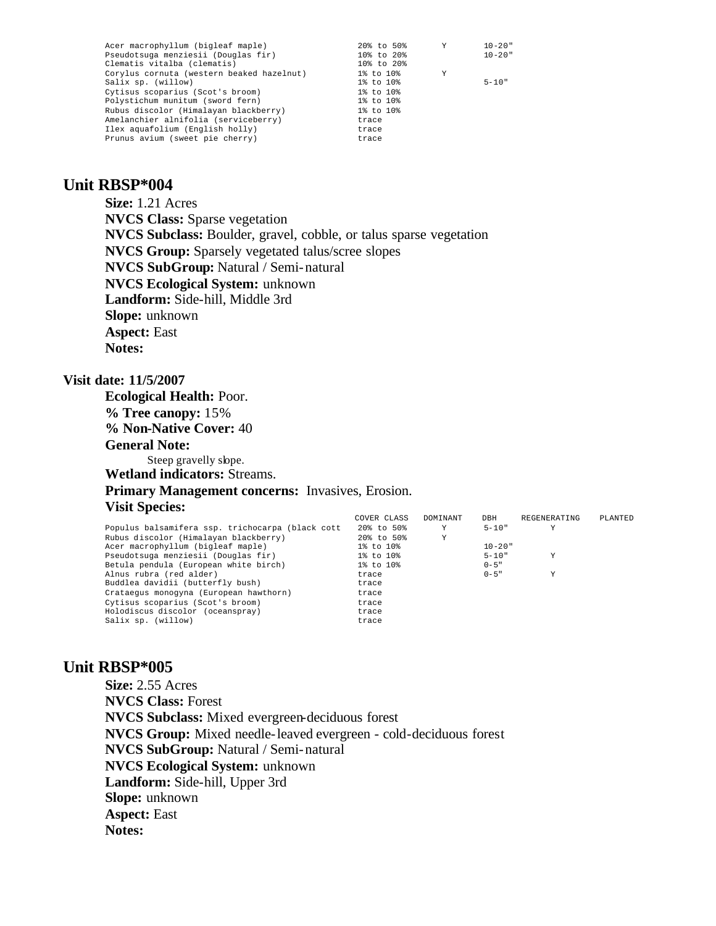| Acer macrophyllum (bigleaf maple)         | 20% to 50%      | Y | $10 - 20$ " |
|-------------------------------------------|-----------------|---|-------------|
| Pseudotsuga menziesii (Douglas fir)       | 10% to 20%      |   | $10 - 20$ " |
| Clematis vitalba (clematis)               | 10% to 20%      |   |             |
| Corylus cornuta (western beaked hazelnut) | $1\%$ to $10\%$ | Y |             |
| Salix sp. (willow)                        | 1% to 10%       |   | $5 - 10"$   |
| Cytisus scoparius (Scot's broom)          | $1\%$ to $10\%$ |   |             |
| Polystichum munitum (sword fern)          | 1% to 10%       |   |             |
| Rubus discolor (Himalayan blackberry)     | 1% to 10%       |   |             |
| Amelanchier alnifolia (serviceberry)      | trace           |   |             |
| Ilex aquafolium (English holly)           | trace           |   |             |
| Prunus avium (sweet pie cherry)           | trace           |   |             |
|                                           |                 |   |             |

# **Unit RBSP\*004**

**Size:** 1.21 Acres **NVCS Class:** Sparse vegetation **NVCS Subclass:** Boulder, gravel, cobble, or talus sparse vegetation **NVCS Group:** Sparsely vegetated talus/scree slopes **NVCS SubGroup:** Natural / Semi-natural **NVCS Ecological System:** unknown **Landform:** Side-hill, Middle 3rd **Slope:** unknown **Aspect:** East **Notes:** 

## **Visit date: 11/5/2007**

**Ecological Health:** Poor. **% Tree canopy:** 15% **% Non-Native Cover:** 40 **General Note:** Steep gravelly slope. **Wetland indicators:** Streams. **Primary Management concerns:** Invasives, Erosion. **Visit Species:** 

| COVER CLASS | DOMINANT | DBH         | REGENERATING | PLANTED |
|-------------|----------|-------------|--------------|---------|
| 20% to 50%  | Y        | $5 - 10"$   | v            |         |
| 20% to 50%  | Y        |             |              |         |
| 1% to 10%   |          | $10 - 20$ " |              |         |
| 1% to 10%   |          | $5 - 10"$   |              |         |
| 1% to 10%   |          | $0 - 5$ "   |              |         |
| trace       |          | $0 - 5$ "   |              |         |
| trace       |          |             |              |         |
| trace       |          |             |              |         |
| trace       |          |             |              |         |
| trace       |          |             |              |         |
| trace       |          |             |              |         |
|             |          |             |              |         |

# **Unit RBSP\*005**

**Size:** 2.55 Acres **NVCS Class:** Forest **NVCS Subclass:** Mixed evergreen-deciduous forest **NVCS Group:** Mixed needle-leaved evergreen - cold-deciduous forest **NVCS SubGroup:** Natural / Semi-natural **NVCS Ecological System:** unknown **Landform:** Side-hill, Upper 3rd **Slope:** unknown **Aspect:** East **Notes:**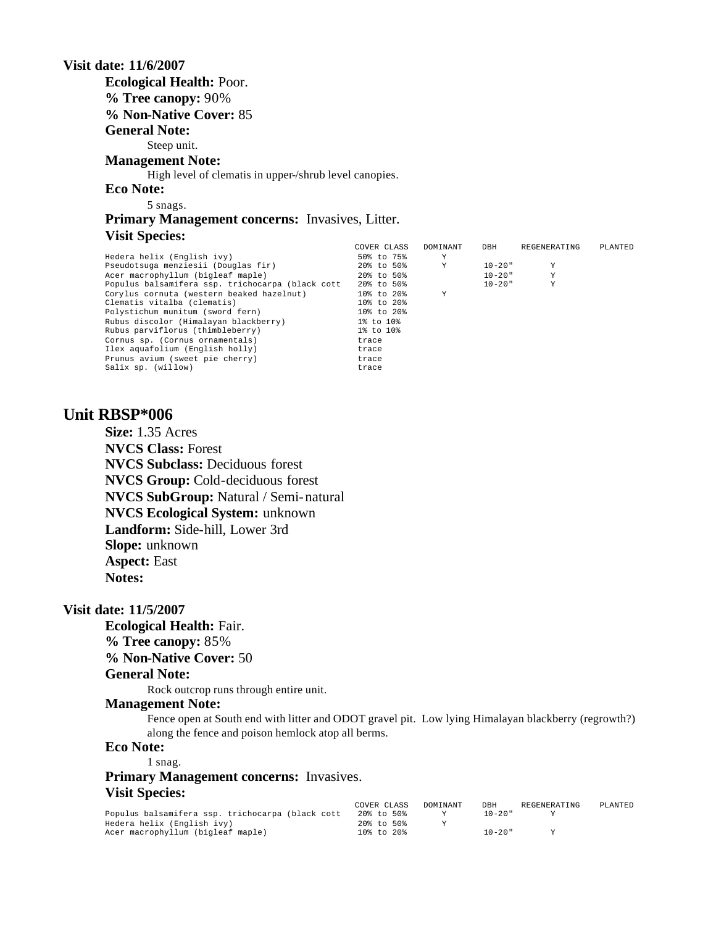**Visit date: 11/6/2007 Ecological Health:** Poor. **% Tree canopy:** 90% **% Non-Native Cover:** 85 **General Note:** Steep unit. **Management Note:** High level of clematis in upper-/shrub level canopies. **Eco Note:** 5 snags. **Primary Management concerns:** Invasives, Litter.

### **Visit Species:**

|                                                  | COVER CLASS | DOMINANT | DBH         | REGENERATING | PLANTED |
|--------------------------------------------------|-------------|----------|-------------|--------------|---------|
| Hedera helix (English ivy)                       | 50% to 75%  | Υ        |             |              |         |
| Pseudotsuga menziesii (Douglas fir)              | 20% to 50%  | Y        | $10 - 20$ " | Y            |         |
| Acer macrophyllum (bigleaf maple)                | 20% to 50%  |          | $10 - 20$ " | Y            |         |
| Populus balsamifera ssp. trichocarpa (black cott | 20% to 50%  |          | $10 - 20$ " | Y            |         |
| Corylus cornuta (western beaked hazelnut)        | 10% to 20%  | Y        |             |              |         |
| Clematis vitalba (clematis)                      | 10% to 20%  |          |             |              |         |
| Polystichum munitum (sword fern)                 | 10% to 20%  |          |             |              |         |
| Rubus discolor (Himalayan blackberry)            | 1% to 10%   |          |             |              |         |
| Rubus parviflorus (thimbleberry)                 | 1% to 10%   |          |             |              |         |
| Cornus sp. (Cornus ornamentals)                  | trace       |          |             |              |         |
| Ilex aquafolium (English holly)                  | trace       |          |             |              |         |
| Prunus avium (sweet pie cherry)                  | trace       |          |             |              |         |
| Salix sp. (willow)                               | trace       |          |             |              |         |

# **Unit RBSP\*006**

**Size:** 1.35 Acres **NVCS Class:** Forest **NVCS Subclass:** Deciduous forest **NVCS Group:** Cold-deciduous forest **NVCS SubGroup:** Natural / Semi-natural **NVCS Ecological System:** unknown **Landform:** Side-hill, Lower 3rd **Slope:** unknown **Aspect:** East **Notes:** 

#### **Visit date: 11/5/2007**

**Ecological Health:** Fair. **% Tree canopy:** 85% **% Non-Native Cover:** 50

## **General Note:**

Rock outcrop runs through entire unit.

#### **Management Note:**

Fence open at South end with litter and ODOT gravel pit. Low lying Himalayan blackberry (regrowth?) along the fence and poison hemlock atop all berms.

# **Eco Note:**

1 snag.

# **Primary Management concerns:** Invasives. **Visit Species:**

|                                                  | COVER CLASS      | DOMINANT | DBH         | REGENERATING | PLANTED |
|--------------------------------------------------|------------------|----------|-------------|--------------|---------|
| Populus balsamifera ssp. trichocarpa (black cott | 20% to 50%       |          | $10 - 20$ " |              |         |
| Hedera helix (English ivy)                       | 20% to 50%       |          |             |              |         |
| Acer macrophyllum (bigleaf maple)                | $10\%$ to $20\%$ |          | $10 - 20$ " |              |         |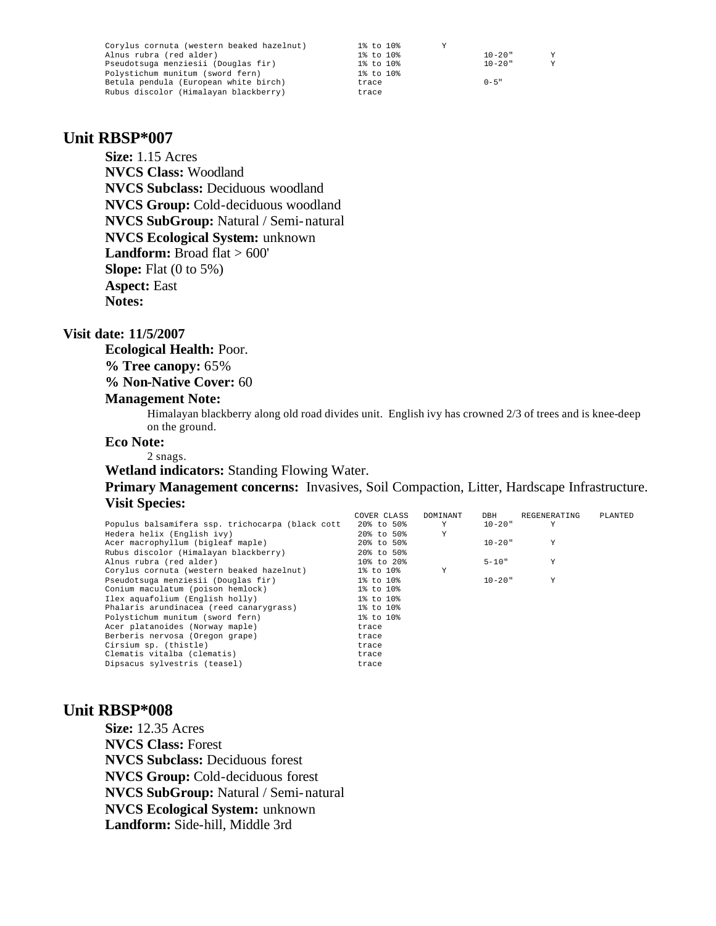| Corylus cornuta (western beaked hazelnut) | 1% to 10%<br>v |                  |
|-------------------------------------------|----------------|------------------|
| Alnus rubra (red alder)                   | 1% to 10%      | $10 - 20$ "<br>v |
| Pseudotsuga menziesii (Douglas fir)       | 1% to 10%      | $10 - 20$ "      |
| Polystichum munitum (sword fern)          | 1% to 10%      |                  |
| Betula pendula (European white birch)     | trace          | $0 - 5$ "        |
| Rubus discolor (Himalayan blackberry)     | trace          |                  |

## **Unit RBSP\*007**

**Size:** 1.15 Acres **NVCS Class:** Woodland **NVCS Subclass:** Deciduous woodland **NVCS Group:** Cold-deciduous woodland **NVCS SubGroup:** Natural / Semi-natural **NVCS Ecological System:** unknown **Landform:** Broad flat > 600' **Slope:** Flat (0 to 5%) **Aspect:** East **Notes:** 

#### **Visit date: 11/5/2007**

**Ecological Health:** Poor.

**% Tree canopy:** 65%

**% Non-Native Cover:** 60

#### **Management Note:**

Himalayan blackberry along old road divides unit. English ivy has crowned 2/3 of trees and is knee-deep on the ground.

#### **Eco Note:**

2 snags.

**Wetland indicators:** Standing Flowing Water.

### **Primary Management concerns:** Invasives, Soil Compaction, Litter, Hardscape Infrastructure. **Visit Species:**

|                                                  | COVER CLASS      | DOMINANT | DBH         | REGENERATING | PLANTED |
|--------------------------------------------------|------------------|----------|-------------|--------------|---------|
| Populus balsamifera ssp. trichocarpa (black cott | 20% to 50%       | Y        | $10 - 20$ " | Y            |         |
| Hedera helix (English ivy)                       | 20% to 50%       | Υ        |             |              |         |
| Acer macrophyllum (bigleaf maple)                | 20% to 50%       |          | $10 - 20$ " | Y            |         |
| Rubus discolor (Himalayan blackberry)            | 20% to 50%       |          |             |              |         |
| Alnus rubra (red alder)                          | $10\%$ to $20\%$ |          | $5 - 10"$   | Y            |         |
| Corylus cornuta (western beaked hazelnut)        | 1% to 10%        | Υ        |             |              |         |
| Pseudotsuga menziesii (Douglas fir)              | 1% to 10%        |          | $10 - 20$ " | Υ            |         |
| Conium maculatum (poison hemlock)                | 1% to 10%        |          |             |              |         |
| Ilex aquafolium (English holly)                  | 1% to 10%        |          |             |              |         |
| Phalaris arundinacea (reed canarygrass)          | 1% to 10%        |          |             |              |         |
| Polystichum munitum (sword fern)                 | 1% to 10%        |          |             |              |         |
| Acer platanoides (Norway maple)                  | trace            |          |             |              |         |
| Berberis nervosa (Oregon grape)                  | trace            |          |             |              |         |
| Cirsium sp. (thistle)                            | trace            |          |             |              |         |
| Clematis vitalba (clematis)                      | trace            |          |             |              |         |
| Dipsacus sylvestris (teasel)                     | trace            |          |             |              |         |

# **Unit RBSP\*008**

**Size:** 12.35 Acres **NVCS Class:** Forest **NVCS Subclass:** Deciduous forest **NVCS Group:** Cold-deciduous forest **NVCS SubGroup:** Natural / Semi-natural **NVCS Ecological System:** unknown **Landform:** Side-hill, Middle 3rd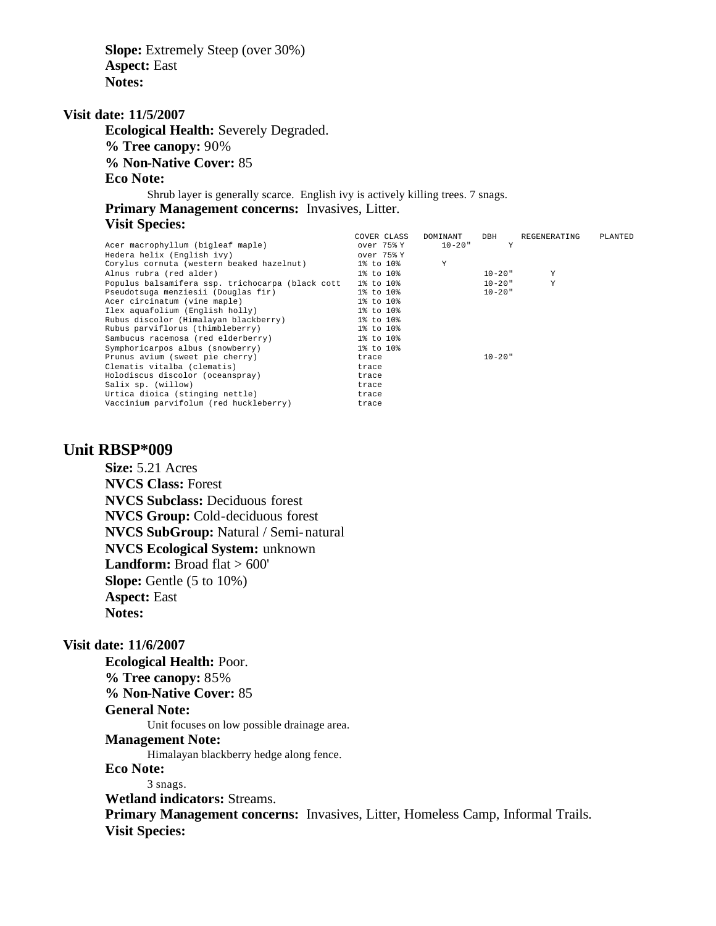**Slope:** Extremely Steep (over 30%) **Aspect:** East **Notes:** 

#### **Visit date: 11/5/2007**

**Ecological Health:** Severely Degraded. **% Tree canopy:** 90% **% Non-Native Cover:** 85 **Eco Note:** Shrub layer is generally scarce. English ivy is actively killing trees. 7 snags.

**Primary Management concerns:** Invasives, Litter.

#### **Visit Species:**

|                                                  | COVER CLASS | DOMINANT    | DBH         | REGENERATING | PLANTED |
|--------------------------------------------------|-------------|-------------|-------------|--------------|---------|
| Acer macrophyllum (bigleaf maple)                | over 75% Y  | $10 - 20$ " | Y           |              |         |
| Hedera helix (English ivv)                       | over 75% Y  |             |             |              |         |
| Corylus cornuta (western beaked hazelnut)        | 1% to 10%   | Y           |             |              |         |
| Alnus rubra (red alder)                          | 1% to 10%   |             | 10-20"      | Y            |         |
| Populus balsamifera ssp. trichocarpa (black cott | 1% to 10%   |             | $10 - 20$ " | Y            |         |
| Pseudotsuga menziesii (Douglas fir)              | 1% to 10%   |             | $10 - 20$ " |              |         |
| Acer circinatum (vine maple)                     | 1% to 10%   |             |             |              |         |
| Ilex aquafolium (English holly)                  | 1% to 10%   |             |             |              |         |
| Rubus discolor (Himalayan blackberry)            | 1% to 10%   |             |             |              |         |
| Rubus parviflorus (thimbleberry)                 | 1% to 10%   |             |             |              |         |
| Sambucus racemosa (red elderberry)               | 1% to 10%   |             |             |              |         |
| Symphoricarpos albus (snowberry)                 | 1% to 10%   |             |             |              |         |
| Prunus avium (sweet pie cherry)                  | trace       |             | $10 - 20$ " |              |         |
| Clematis vitalba (clematis)                      | trace       |             |             |              |         |
| Holodiscus discolor (oceanspray)                 | trace       |             |             |              |         |
| Salix sp. (willow)                               | trace       |             |             |              |         |
| Urtica dioica (stinging nettle)                  | trace       |             |             |              |         |
| Vaccinium parvifolum (red huckleberry)           | trace       |             |             |              |         |

## **Unit RBSP\*009**

**Size:** 5.21 Acres **NVCS Class:** Forest **NVCS Subclass:** Deciduous forest **NVCS Group:** Cold-deciduous forest **NVCS SubGroup:** Natural / Semi-natural **NVCS Ecological System:** unknown Landform: Broad flat > 600' **Slope:** Gentle (5 to 10%) **Aspect:** East **Notes:** 

#### **Visit date: 11/6/2007**

**Ecological Health:** Poor. **% Tree canopy:** 85% **% Non-Native Cover:** 85

# **General Note:**

Unit focuses on low possible drainage area.

# **Management Note:**

Himalayan blackberry hedge along fence.

**Eco Note:**

3 snags.

**Wetland indicators:** Streams.

**Primary Management concerns:** Invasives, Litter, Homeless Camp, Informal Trails. **Visit Species:**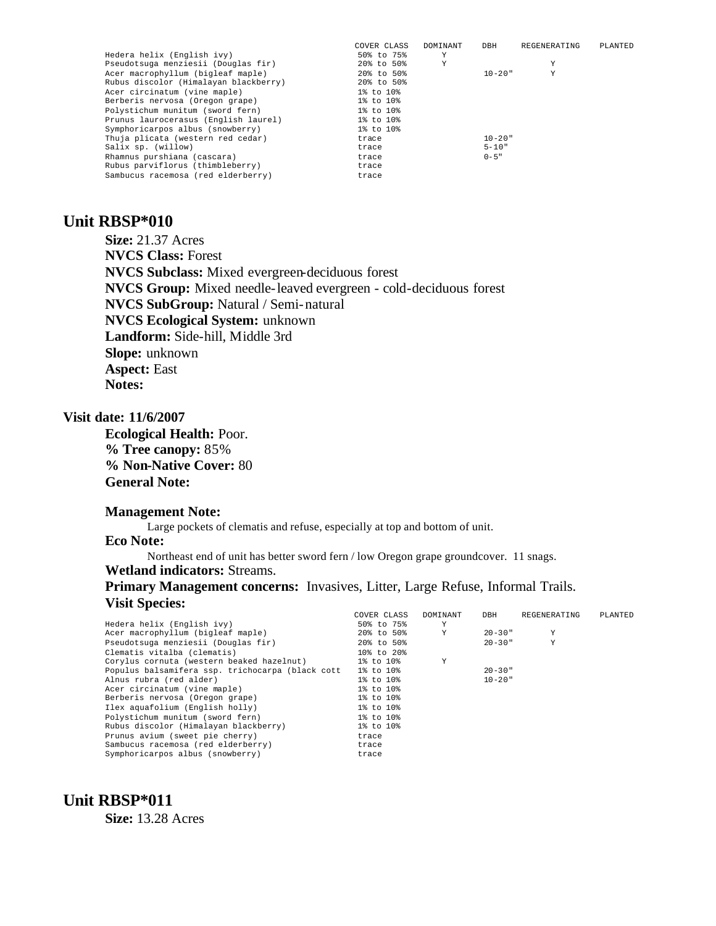| COVER CLASS | DOMINANT | DBH         | REGENERATING | PLANTED |
|-------------|----------|-------------|--------------|---------|
| 50% to 75%  | Υ        |             |              |         |
| 20% to 50%  | Y        |             |              |         |
| 20% to 50%  |          | $10 - 20$ " | Y            |         |
| 20% to 50%  |          |             |              |         |
| 1% to 10%   |          |             |              |         |
| 1% to 10%   |          |             |              |         |
| 1% to 10%   |          |             |              |         |
| 1% to 10%   |          |             |              |         |
| 1% to 10%   |          |             |              |         |
| trace       |          | $10 - 20$ " |              |         |
| trace       |          | $5 - 10"$   |              |         |
| trace       |          | $0 - 5$ "   |              |         |
| trace       |          |             |              |         |
| trace       |          |             |              |         |
|             |          |             |              |         |

# **Unit RBSP\*010**

**Size:** 21.37 Acres **NVCS Class:** Forest **NVCS Subclass:** Mixed evergreen-deciduous forest **NVCS Group:** Mixed needle-leaved evergreen - cold-deciduous forest **NVCS SubGroup:** Natural / Semi-natural **NVCS Ecological System:** unknown **Landform:** Side-hill, Middle 3rd **Slope:** unknown **Aspect:** East **Notes:** 

#### **Visit date: 11/6/2007**

**Ecological Health:** Poor. **% Tree canopy:** 85% **% Non-Native Cover:** 80 **General Note:**

#### **Management Note:**

Large pockets of clematis and refuse, especially at top and bottom of unit.

#### **Eco Note:**

Northeast end of unit has better sword fern / low Oregon grape groundcover. 11 snags. **Wetland indicators:** Streams.

## **Primary Management concerns:** Invasives, Litter, Large Refuse, Informal Trails. **Visit Species:**

|                                                  | COVER CLASS     | DOMINANT | DBH         | REGENERATING | PLANTED |
|--------------------------------------------------|-----------------|----------|-------------|--------------|---------|
| Hedera helix (English ivy)                       | 50% to 75%      | Υ        |             |              |         |
| Acer macrophyllum (bigleaf maple)                | 20% to 50%      | Y        | $20 - 30$ " | Y            |         |
| Pseudotsuga menziesii (Douglas fir)              | 20% to 50%      |          | $20 - 30$ " | Y            |         |
| Clematis vitalba (clematis)                      | 10% to 20%      |          |             |              |         |
| Corylus cornuta (western beaked hazelnut)        | 1% to 10%       | Y        |             |              |         |
| Populus balsamifera ssp. trichocarpa (black cott | $1\%$ to $10\%$ |          | $20 - 30$ " |              |         |
| Alnus rubra (red alder)                          | 1% to 10%       |          | $10 - 20$ " |              |         |
| Acer circinatum (vine maple)                     | 1% to 10%       |          |             |              |         |
| Berberis nervosa (Oregon grape)                  | 1% to 10%       |          |             |              |         |
| Ilex aquafolium (English holly)                  | 1% to 10%       |          |             |              |         |
| Polystichum munitum (sword fern)                 | 1% to 10%       |          |             |              |         |
| Rubus discolor (Himalayan blackberry)            | 1% to 10%       |          |             |              |         |
| Prunus avium (sweet pie cherry)                  | trace           |          |             |              |         |
| Sambucus racemosa (red elderberry)               | trace           |          |             |              |         |
| Symphoricarpos albus (snowberry)                 | trace           |          |             |              |         |

# **Unit RBSP\*011**

**Size:** 13.28 Acres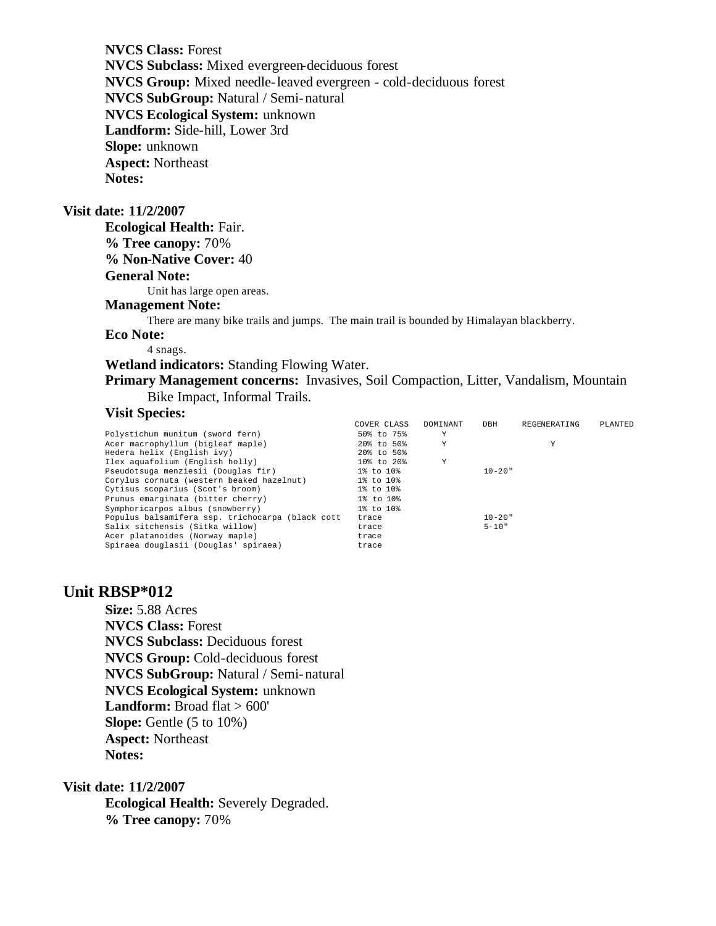**NVCS Class:** Forest **NVCS Subclass:** Mixed evergreen-deciduous forest **NVCS Group:** Mixed needle-leaved evergreen - cold-deciduous forest **NVCS SubGroup:** Natural / Semi-natural **NVCS Ecological System:** unknown **Landform:** Side-hill, Lower 3rd **Slope:** unknown **Aspect:** Northeast **Notes:** 

#### **Visit date: 11/2/2007**

**Ecological Health:** Fair. **% Tree canopy:** 70% **% Non-Native Cover:** 40 **General Note:** Unit has large open areas.

# **Management Note:**

There are many bike trails and jumps. The main trail is bounded by Himalayan blackberry.

## **Eco Note:**

4 snags.

### **Wetland indicators:** Standing Flowing Water.

**Primary Management concerns:** Invasives, Soil Compaction, Litter, Vandalism, Mountain Bike Impact, Informal Trails.

### **Visit Species:**

|                                                  | COVER CLASS | DOMINANT | DBH         | REGENERATING | PLANTED |
|--------------------------------------------------|-------------|----------|-------------|--------------|---------|
| Polystichum munitum (sword fern)                 | 50% to 75%  | Υ        |             |              |         |
| Acer macrophyllum (bigleaf maple)                | 20% to 50%  | Υ        |             | Y            |         |
| Hedera helix (English ivy)                       | 20% to 50%  |          |             |              |         |
| Ilex aquafolium (English holly)                  | 10% to 20%  | Υ        |             |              |         |
| Pseudotsuga menziesii (Douglas fir)              | 1% to 10%   |          | $10 - 20$ " |              |         |
| Corylus cornuta (western beaked hazelnut)        | 1% to 10%   |          |             |              |         |
| Cytisus scoparius (Scot's broom)                 | 1% to 10%   |          |             |              |         |
| Prunus emarginata (bitter cherry)                | 1% to 10%   |          |             |              |         |
| Symphoricarpos albus (snowberry)                 | 1% to 10%   |          |             |              |         |
| Populus balsamifera ssp. trichocarpa (black cott | trace       |          | $10 - 20$ " |              |         |
| Salix sitchensis (Sitka willow)                  | trace       |          | $5 - 10"$   |              |         |
| Acer platanoides (Norway maple)                  | trace       |          |             |              |         |
| Spiraea douglasii (Douglas' spiraea)             | trace       |          |             |              |         |

## **Unit RBSP\*012**

**Size:** 5.88 Acres **NVCS Class:** Forest **NVCS Subclass:** Deciduous forest **NVCS Group:** Cold-deciduous forest **NVCS SubGroup:** Natural / Semi-natural **NVCS Ecological System:** unknown Landform: Broad flat > 600' **Slope:** Gentle (5 to 10%) **Aspect:** Northeast **Notes:** 

#### **Visit date: 11/2/2007**

**Ecological Health:** Severely Degraded. **% Tree canopy:** 70%